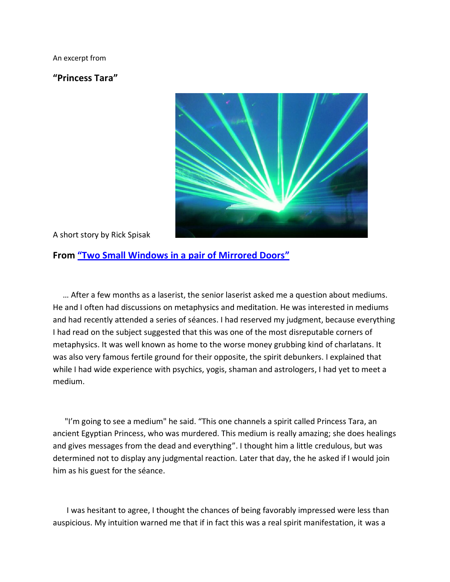An excerpt from

**"Princess Tara"** 



A short story by Rick Spisak

## **From "[Two Small Windows in a pair of Mirrored Doors](http://www.twosmallwindows.com/)"**

 … After a few months as a laserist, the senior laserist asked me a question about mediums. He and I often had discussions on metaphysics and meditation. He was interested in mediums and had recently attended a series of séances. I had reserved my judgment, because everything I had read on the subject suggested that this was one of the most disreputable corners of metaphysics. It was well known as home to the worse money grubbing kind of charlatans. It was also very famous fertile ground for their opposite, the spirit debunkers. I explained that while I had wide experience with psychics, yogis, shaman and astrologers, I had yet to meet a medium.

 "I'm going to see a medium" he said. "This one channels a spirit called Princess Tara, an ancient Egyptian Princess, who was murdered. This medium is really amazing; she does healings and gives messages from the dead and everything". I thought him a little credulous, but was determined not to display any judgmental reaction. Later that day, the he asked if I would join him as his guest for the séance.

 I was hesitant to agree, I thought the chances of being favorably impressed were less than auspicious. My intuition warned me that if in fact this was a real spirit manifestation, it was a